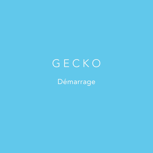## GECKO

Démarrage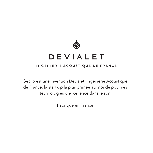

## **DEVIALET**

### INGÉNIERIE ACOUSTIQUE DE FRANCE

Gecko est une invention Devialet, Ingénierie Acoustique de France, la start-up la plus primée au monde pour ses technologies d'excellence dans le son

Fabriqué en France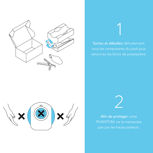

## Sortez et déballez délicatement

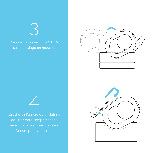$\hat{\bullet}$ 

Posez et retournez PHANTOM



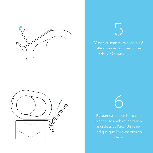



Vissez au maximum avec la clé allen fournie pour verrouiller

Retournez l'ensemble sur sa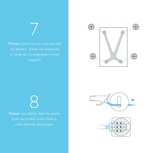Percez votre mur en vous servant du gabarit. Vissez les embouts, à l'aide de vis adaptées à votre

7



8 Passez vos câbles dans le cache



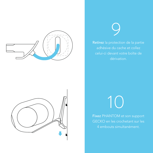



adhésive du cache et collez celui-ci devant votre boîte de

10

GECKO en les crochetant sur les 4 embouts simultanément.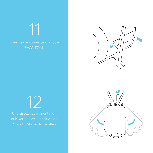Branchez le connecteur à votre

11



12 Choisissez votre orientation

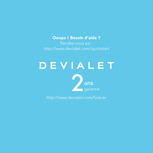### Ooops ! Besoin d'aide ?

Rendez-vous sur :

# DEVIALET ans

http://www.devialet.com/forever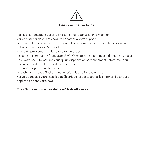

Veillez à correctement visser les vis sur le mur pour assurer le maintien. Veillez à utiliser des vis et chevilles adaptées à votre support. Toute modification non autorisée pourrait compromettre votre sécurité ainsi qu'une utilisation normale de l'appareil. En cas de problème, veuillez consulter un expert. Le câble d'alimentation fourni avec GECKO est destiné à être relié à demeure au réseau. Pour votre sécurité, assurez-vous qu'un dispositif de sectionnement (interrupteur ou disjoncteur) est installé et facilement accessible. En cas d'orage, couper le courant. Le cache fourni avec Gecko a une fonction décorative seulement. Assurez-vous que votre installation électrique respecte toutes les normes électriques applicables dans votre pays.

### Plus d'infos sur www.devialet.com/devialetlovesyou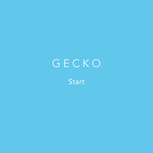## GECKO **Start**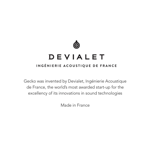

## **DEVIALET**

### INGÉNIERIE ACOUSTIQUE DE FRANCE

Gecko was invented by Devialet, Ingénierie Acoustique de France, the world's most awarded start-up for the excellency of its innovations in sound technologies

Made in France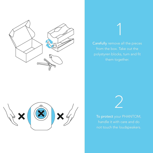

from the box. Take out the

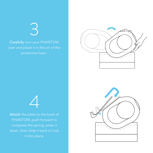Carefully turn your PHANTOM



4

Attach the plate to the back of compress the spring, press it

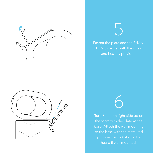



Fasten the plate and the PHAN-

to the base with the metal rod heard if well mounted.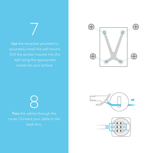Drill the anchor mounts into the

7



8 back box.



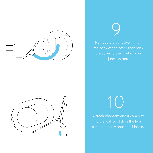



Remove the adhesive film on the back of the cover then stick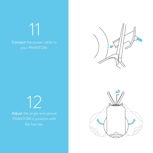

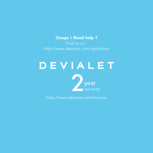### Ooops ! Need help ?

Find us on :

# DEVIALET  $\sqrt{\ }$  year

http://www.devialet.com/forever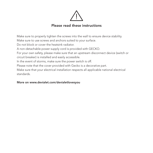

### Please read these instructions

Make sure to properly tighten the screws into the wall to ensure device stability. Make sure to use screws and anchors suited to your surface. Do not block or cover the heatsink radiator. A non-detachable power supply cord is provided with GECKO. For your own safety, please make sure that an upstream disconnect device (switch or circuit breaker) is installed and easily accessible. In the event of storms, make sure the power switch is off. Please note that the cover provided with Gecko is a decorative part. Make sure that your electrical installation respects all applicable national electrical standards.

#### More on www.devialet.com/devialetlovesyou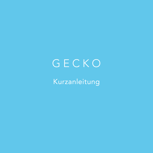# GECKO

Kurzanleitung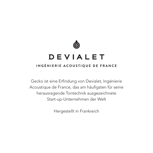

## **DEVIALET**

### INGÉNIERIE ACOUSTIQUE DE FRANCE

Gecko ist eine Erfindung von Devialet, Ingénierie Acoustique de France, das am häufigsten für seine herausragende Tontechnik ausgezeichnete Start-up-Unternehmen der Welt

Hergestellt in Frankreich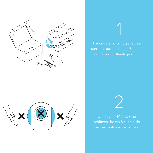

an der Lautsprecherbox an.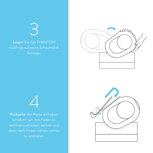

Rückseite der Platte einhaken;

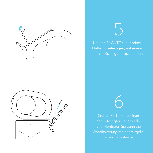



Platte zu befestigen, mit einem

um. Montieren Sie dann die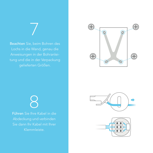Lochs in die Wand, genau die Anweisungen in der Bohranlei-

7



8 Führen Sie Ihre Kabel in die



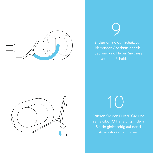



klebenden Abschnitt der Abvor Ihren Schaltkasten.

10

Fixieren Sie den PHANTOM und seine GECKO Halterung, indem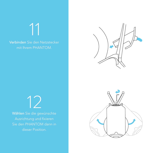Verbinden Sie den Netzstecker mit Ihrem PHANTOM.

11



12 dieser Position.

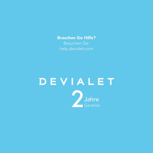Brauchen Sie Hilfe?

# DEVIALET Jahre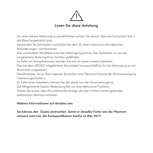

### Lesen Sie diese Anleitung

Um eine sichere Halterung zu gewährleisten achten Sie darauf, dass die Schrauben fest in die Wand angebracht sind.

Verwenden Sie Schrauben und Dübel die den, für Ihren Gebrauch erforderlichen Anforderungen, nachkommen.

Alle unerlaubten Modifikationen der Anbringung können Ihre Sicherheit, so wie die vorgesehene Nutzung Ihres Gerätes gefährden.

Im Falle von Komplikationen wenden Sie sich an einen unserer Experten.

Das mit dem GECKO mitgelieferte Stromkabel ist ausschließlich für die Anbindung an ein Stromnetz vorgesehen.

Gewährleisten Sie zu Ihrer eigenen Sicherheit eine Trennvorrichtung der Stromversorgung ( Sicherungsschalter ).

Im Falle eines Gewitters trennen Sie das Gerät von der Stromversorgung.

Die Mitgelieferte Gecko-Abdeckung hat nur eine dekorative Funktion.

Stellen Sie sicher, dass Ihre elektrische Anlage alle die in Ihrem Lande geltenden elektrischen Normen einhaltet.

### Weitere Informationen auf devialet.com

Sie können den Gecko anstreichen, damit er dieselbe Farbe wie der Phantom schwarz matt hat; die Farbspezifikation hierfür ist RAL 9017.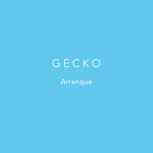## GECKO

**Arranque**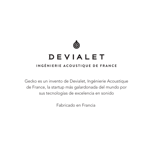

## **DEVIALET**

### INGÉNIERIE ACOUSTIQUE DE FRANCE

Gecko es un invento de Devialet, Ingénierie Acoustique de France, la startup más galardonada del mundo por sus tecnologías de excelencia en sonido

Fabricado en Francia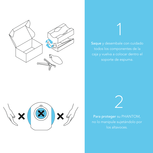

soporte de espuma.

1



no lo manipule sujetándolo por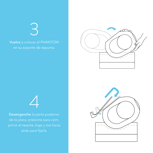en su soporte de espuma.



4

Desenganche la parte posterior

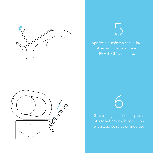



PHANTOM a su placa.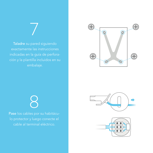exactamente las instrucciones indicadas en la guía de perfora-

7





8 Pase los cables por su habitácu-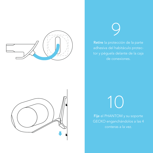



de conexiones.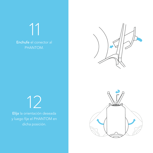Enchufe el conector al



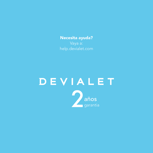Necesita ayuda?

# DEVIALET años